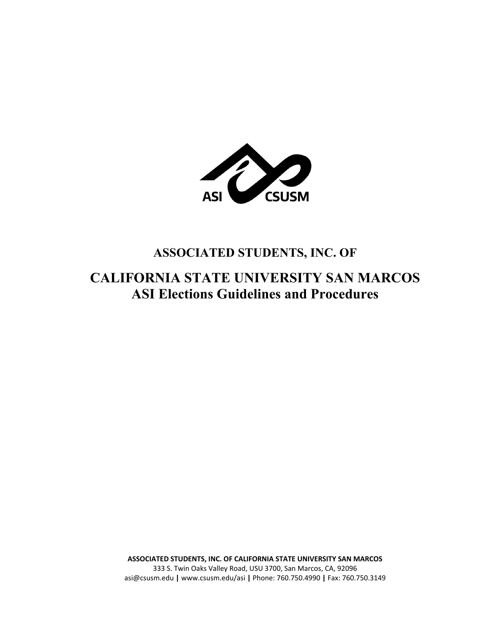

# **ASSOCIATED STUDENTS, INC. OF**

# **CALIFORNIA STATE UNIVERSITY SAN MARCOS ASI Elections Guidelines and Procedures**

**ASSOCIATED STUDENTS, INC. OF CALIFORNIA STATE UNIVERSITY SAN MARCOS** 333 S. Twin Oaks Valley Road, USU 3700, San Marcos, CA, 92096 asi@csusm.edu **|** www.csusm.edu/asi **|** Phone: 760.750.4990 **|** Fax: 760.750.3149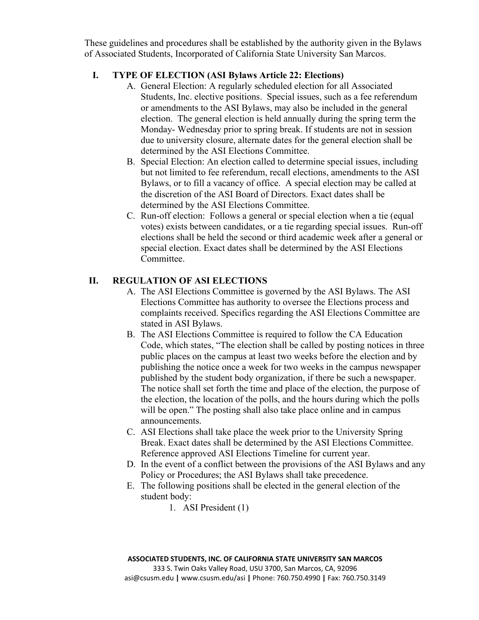These guidelines and procedures shall be established by the authority given in the Bylaws of Associated Students, Incorporated of California State University San Marcos.

## **I. TYPE OF ELECTION (ASI Bylaws Article 22: Elections)**

- A. General Election: A regularly scheduled election for all Associated Students, Inc. elective positions. Special issues, such as a fee referendum or amendments to the ASI Bylaws, may also be included in the general election. The general election is held annually during the spring term the Monday- Wednesday prior to spring break. If students are not in session due to university closure, alternate dates for the general election shall be determined by the ASI Elections Committee.
- B. Special Election: An election called to determine special issues, including but not limited to fee referendum, recall elections, amendments to the ASI Bylaws, or to fill a vacancy of office. A special election may be called at the discretion of the ASI Board of Directors. Exact dates shall be determined by the ASI Elections Committee.
- C. Run-off election: Follows a general or special election when a tie (equal votes) exists between candidates, or a tie regarding special issues. Run-off elections shall be held the second or third academic week after a general or special election. Exact dates shall be determined by the ASI Elections Committee.

# **II. REGULATION OF ASI ELECTIONS**

- A. The ASI Elections Committee is governed by the ASI Bylaws. The ASI Elections Committee has authority to oversee the Elections process and complaints received. Specifics regarding the ASI Elections Committee are stated in ASI Bylaws.
- B. The ASI Elections Committee is required to follow the CA Education Code, which states, "The election shall be called by posting notices in three public places on the campus at least two weeks before the election and by publishing the notice once a week for two weeks in the campus newspaper published by the student body organization, if there be such a newspaper. The notice shall set forth the time and place of the election, the purpose of the election, the location of the polls, and the hours during which the polls will be open." The posting shall also take place online and in campus announcements.
- C. ASI Elections shall take place the week prior to the University Spring Break. Exact dates shall be determined by the ASI Elections Committee. Reference approved ASI Elections Timeline for current year.
- D. In the event of a conflict between the provisions of the ASI Bylaws and any Policy or Procedures; the ASI Bylaws shall take precedence.
- E. The following positions shall be elected in the general election of the student body:
	- 1. ASI President (1)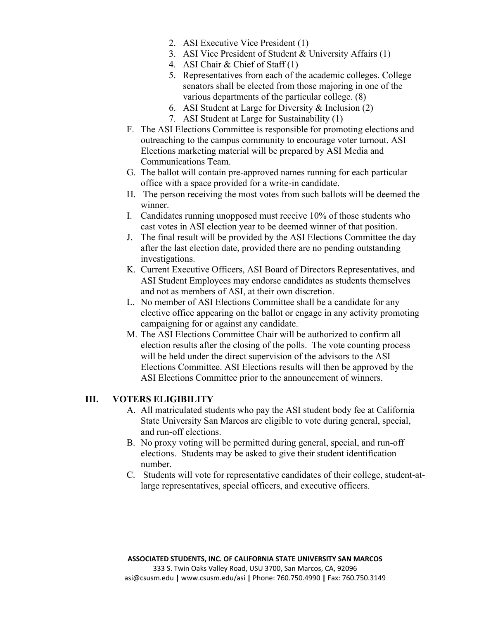- 2. ASI Executive Vice President (1)
- 3. ASI Vice President of Student & University Affairs (1)
- 4. ASI Chair & Chief of Staff (1)
- 5. Representatives from each of the academic colleges. College senators shall be elected from those majoring in one of the various departments of the particular college. (8)
- 6. ASI Student at Large for Diversity & Inclusion (2)
- 7. ASI Student at Large for Sustainability (1)
- F. The ASI Elections Committee is responsible for promoting elections and outreaching to the campus community to encourage voter turnout. ASI Elections marketing material will be prepared by ASI Media and Communications Team.
- G. The ballot will contain pre-approved names running for each particular office with a space provided for a write-in candidate.
- H. The person receiving the most votes from such ballots will be deemed the winner.
- I. Candidates running unopposed must receive 10% of those students who cast votes in ASI election year to be deemed winner of that position.
- J. The final result will be provided by the ASI Elections Committee the day after the last election date, provided there are no pending outstanding investigations.
- K. Current Executive Officers, ASI Board of Directors Representatives, and ASI Student Employees may endorse candidates as students themselves and not as members of ASI, at their own discretion.
- L. No member of ASI Elections Committee shall be a candidate for any elective office appearing on the ballot or engage in any activity promoting campaigning for or against any candidate.
- M. The ASI Elections Committee Chair will be authorized to confirm all election results after the closing of the polls. The vote counting process will be held under the direct supervision of the advisors to the ASI Elections Committee. ASI Elections results will then be approved by the ASI Elections Committee prior to the announcement of winners.

# **III. VOTERS ELIGIBILITY**

- A. All matriculated students who pay the ASI student body fee at California State University San Marcos are eligible to vote during general, special, and run-off elections.
- B. No proxy voting will be permitted during general, special, and run-off elections. Students may be asked to give their student identification number.
- C. Students will vote for representative candidates of their college, student-atlarge representatives, special officers, and executive officers.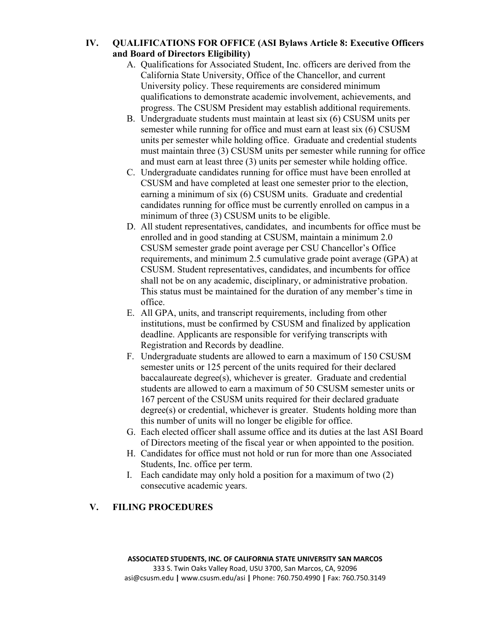## **IV. QUALIFICATIONS FOR OFFICE (ASI Bylaws Article 8: Executive Officers and Board of Directors Eligibility)**

- A. Qualifications for Associated Student, Inc. officers are derived from the California State University, Office of the Chancellor, and current University policy. These requirements are considered minimum qualifications to demonstrate academic involvement, achievements, and progress. The CSUSM President may establish additional requirements.
- B. Undergraduate students must maintain at least six (6) CSUSM units per semester while running for office and must earn at least six (6) CSUSM units per semester while holding office. Graduate and credential students must maintain three (3) CSUSM units per semester while running for office and must earn at least three (3) units per semester while holding office.
- C. Undergraduate candidates running for office must have been enrolled at CSUSM and have completed at least one semester prior to the election, earning a minimum of six (6) CSUSM units. Graduate and credential candidates running for office must be currently enrolled on campus in a minimum of three (3) CSUSM units to be eligible.
- D. All student representatives, candidates, and incumbents for office must be enrolled and in good standing at CSUSM, maintain a minimum 2.0 CSUSM semester grade point average per CSU Chancellor's Office requirements, and minimum 2.5 cumulative grade point average (GPA) at CSUSM. Student representatives, candidates, and incumbents for office shall not be on any academic, disciplinary, or administrative probation. This status must be maintained for the duration of any member's time in office.
- E. All GPA, units, and transcript requirements, including from other institutions, must be confirmed by CSUSM and finalized by application deadline. Applicants are responsible for verifying transcripts with Registration and Records by deadline.
- F. Undergraduate students are allowed to earn a maximum of 150 CSUSM semester units or 125 percent of the units required for their declared baccalaureate degree(s), whichever is greater. Graduate and credential students are allowed to earn a maximum of 50 CSUSM semester units or 167 percent of the CSUSM units required for their declared graduate degree(s) or credential, whichever is greater. Students holding more than this number of units will no longer be eligible for office.
- G. Each elected officer shall assume office and its duties at the last ASI Board of Directors meeting of the fiscal year or when appointed to the position.
- H. Candidates for office must not hold or run for more than one Associated Students, Inc. office per term.
- I. Each candidate may only hold a position for a maximum of two (2) consecutive academic years.

# **V. FILING PROCEDURES**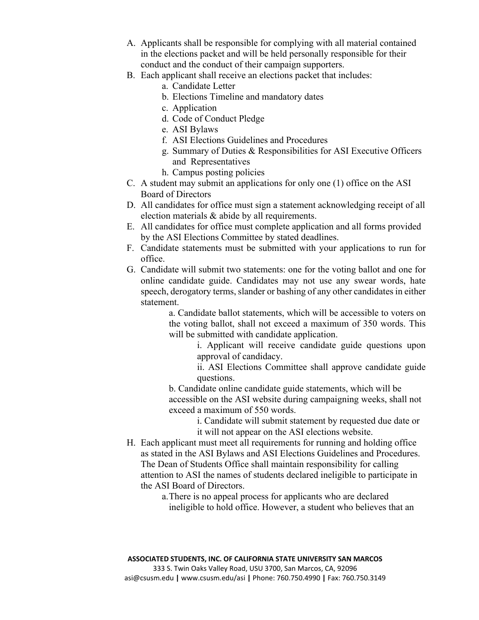- A. Applicants shall be responsible for complying with all material contained in the elections packet and will be held personally responsible for their conduct and the conduct of their campaign supporters.
- B. Each applicant shall receive an elections packet that includes:
	- a. Candidate Letter
	- b. Elections Timeline and mandatory dates
	- c. Application
	- d. Code of Conduct Pledge
	- e. ASI Bylaws
	- f. ASI Elections Guidelines and Procedures
	- g. Summary of Duties & Responsibilities for ASI Executive Officers and Representatives
	- h. Campus posting policies
- C. A student may submit an applications for only one (1) office on the ASI Board of Directors
- D. All candidates for office must sign a statement acknowledging receipt of all election materials & abide by all requirements.
- E. All candidates for office must complete application and all forms provided by the ASI Elections Committee by stated deadlines.
- F. Candidate statements must be submitted with your applications to run for office.
- G. Candidate will submit two statements: one for the voting ballot and one for online candidate guide. Candidates may not use any swear words, hate speech, derogatory terms, slander or bashing of any other candidates in either statement.

a. Candidate ballot statements, which will be accessible to voters on the voting ballot, shall not exceed a maximum of 350 words. This will be submitted with candidate application.

i. Applicant will receive candidate guide questions upon approval of candidacy.

ii. ASI Elections Committee shall approve candidate guide questions.

b. Candidate online candidate guide statements, which will be accessible on the ASI website during campaigning weeks, shall not exceed a maximum of 550 words.

> i. Candidate will submit statement by requested due date or it will not appear on the ASI elections website.

H. Each applicant must meet all requirements for running and holding office as stated in the ASI Bylaws and ASI Elections Guidelines and Procedures. The Dean of Students Office shall maintain responsibility for calling attention to ASI the names of students declared ineligible to participate in the ASI Board of Directors.

> a.There is no appeal process for applicants who are declared ineligible to hold office. However, a student who believes that an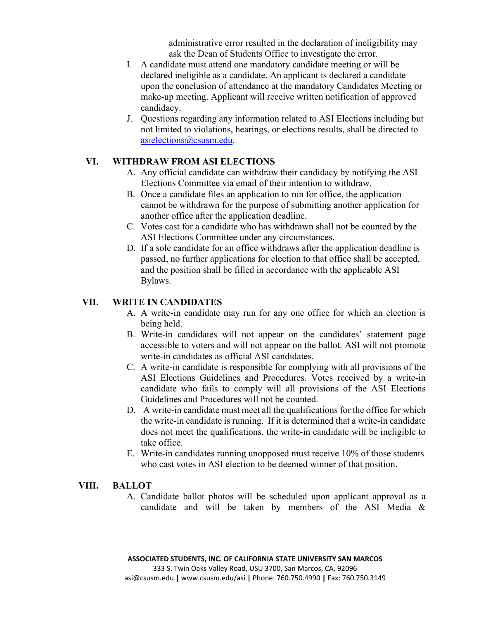administrative error resulted in the declaration of ineligibility may ask the Dean of Students Office to investigate the error.

- I. A candidate must attend one mandatory candidate meeting or will be declared ineligible as a candidate. An applicant is declared a candidate upon the conclusion of attendance at the mandatory Candidates Meeting or make-up meeting. Applicant will receive written notification of approved candidacy.
- J. Questions regarding any information related to ASI Elections including but not limited to violations, hearings, or elections results, shall be directed to asielections@csusm.edu.

## **VI. WITHDRAW FROM ASI ELECTIONS**

- A. Any official candidate can withdraw their candidacy by notifying the ASI Elections Committee via email of their intention to withdraw.
- B. Once a candidate files an application to run for office, the application cannot be withdrawn for the purpose of submitting another application for another office after the application deadline.
- C. Votes cast for a candidate who has withdrawn shall not be counted by the ASI Elections Committee under any circumstances.
- D. If a sole candidate for an office withdraws after the application deadline is passed, no further applications for election to that office shall be accepted, and the position shall be filled in accordance with the applicable ASI Bylaws.

## **VII. WRITE IN CANDIDATES**

- A. A write-in candidate may run for any one office for which an election is being held.
- B. Write-in candidates will not appear on the candidates' statement page accessible to voters and will not appear on the ballot. ASI will not promote write-in candidates as official ASI candidates.
- C. A write-in candidate is responsible for complying with all provisions of the ASI Elections Guidelines and Procedures. Votes received by a write-in candidate who fails to comply will all provisions of the ASI Elections Guidelines and Procedures will not be counted.
- D. A write-in candidate must meet all the qualifications for the office for which the write-in candidate is running. If it is determined that a write-in candidate does not meet the qualifications, the write-in candidate will be ineligible to take office.
- E. Write-in candidates running unopposed must receive 10% of those students who cast votes in ASI election to be deemed winner of that position.

#### **VIII. BALLOT**

A. Candidate ballot photos will be scheduled upon applicant approval as a candidate and will be taken by members of the ASI Media &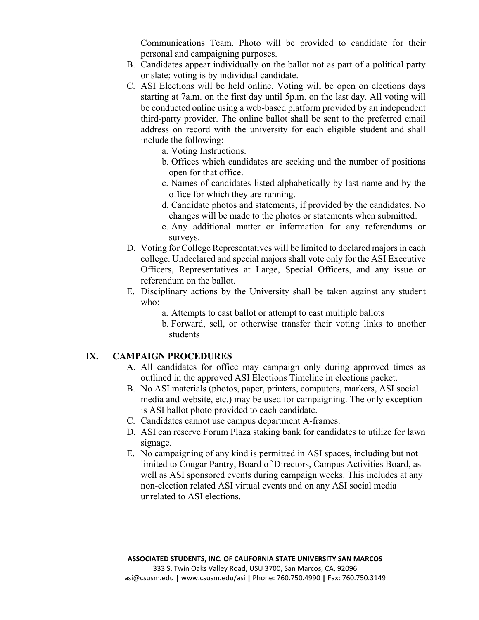Communications Team. Photo will be provided to candidate for their personal and campaigning purposes.

- B. Candidates appear individually on the ballot not as part of a political party or slate; voting is by individual candidate.
- C. ASI Elections will be held online. Voting will be open on elections days starting at 7a.m. on the first day until 5p.m. on the last day. All voting will be conducted online using a web-based platform provided by an independent third-party provider. The online ballot shall be sent to the preferred email address on record with the university for each eligible student and shall include the following:
	- a. Voting Instructions.
	- b. Offices which candidates are seeking and the number of positions open for that office.
	- c. Names of candidates listed alphabetically by last name and by the office for which they are running.
	- d. Candidate photos and statements, if provided by the candidates. No changes will be made to the photos or statements when submitted.
	- e. Any additional matter or information for any referendums or surveys.
- D. Voting for College Representatives will be limited to declared majors in each college. Undeclared and special majors shall vote only for the ASI Executive Officers, Representatives at Large, Special Officers, and any issue or referendum on the ballot.
- E. Disciplinary actions by the University shall be taken against any student who:
	- a. Attempts to cast ballot or attempt to cast multiple ballots
	- b. Forward, sell, or otherwise transfer their voting links to another students

#### **IX. CAMPAIGN PROCEDURES**

- A. All candidates for office may campaign only during approved times as outlined in the approved ASI Elections Timeline in elections packet.
- B. No ASI materials (photos, paper, printers, computers, markers, ASI social media and website, etc.) may be used for campaigning. The only exception is ASI ballot photo provided to each candidate.
- C. Candidates cannot use campus department A-frames.
- D. ASI can reserve Forum Plaza staking bank for candidates to utilize for lawn signage.
- E. No campaigning of any kind is permitted in ASI spaces, including but not limited to Cougar Pantry, Board of Directors, Campus Activities Board, as well as ASI sponsored events during campaign weeks. This includes at any non-election related ASI virtual events and on any ASI social media unrelated to ASI elections.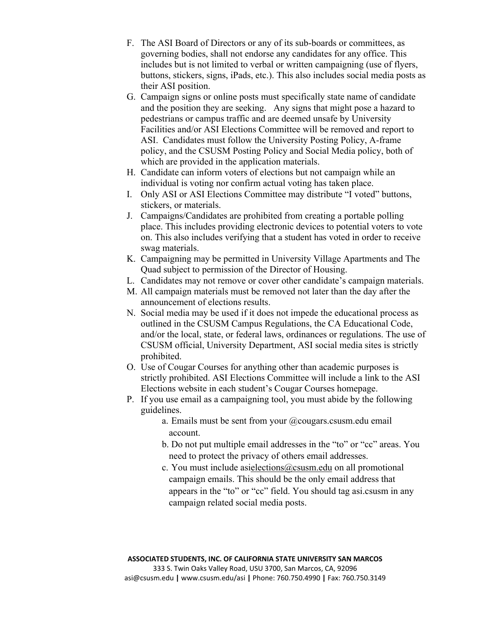- F. The ASI Board of Directors or any of its sub-boards or committees, as governing bodies, shall not endorse any candidates for any office. This includes but is not limited to verbal or written campaigning (use of flyers, buttons, stickers, signs, iPads, etc.). This also includes social media posts as their ASI position.
- G. Campaign signs or online posts must specifically state name of candidate and the position they are seeking. Any signs that might pose a hazard to pedestrians or campus traffic and are deemed unsafe by University Facilities and/or ASI Elections Committee will be removed and report to ASI. Candidates must follow the University Posting Policy, A-frame policy, and the CSUSM Posting Policy and Social Media policy, both of which are provided in the application materials.
- H. Candidate can inform voters of elections but not campaign while an individual is voting nor confirm actual voting has taken place.
- I. Only ASI or ASI Elections Committee may distribute "I voted" buttons, stickers, or materials.
- J. Campaigns/Candidates are prohibited from creating a portable polling place. This includes providing electronic devices to potential voters to vote on. This also includes verifying that a student has voted in order to receive swag materials.
- K. Campaigning may be permitted in University Village Apartments and The Quad subject to permission of the Director of Housing.
- L. Candidates may not remove or cover other candidate's campaign materials.
- M. All campaign materials must be removed not later than the day after the announcement of elections results.
- N. Social media may be used if it does not impede the educational process as outlined in the CSUSM Campus Regulations, the CA Educational Code, and/or the local, state, or federal laws, ordinances or regulations. The use of CSUSM official, University Department, ASI social media sites is strictly prohibited.
- O. Use of Cougar Courses for anything other than academic purposes is strictly prohibited. ASI Elections Committee will include a link to the ASI Elections website in each student's Cougar Courses homepage.
- P. If you use email as a campaigning tool, you must abide by the following guidelines.
	- a. Emails must be sent from your @cougars.csusm.edu email account.
	- b. Do not put multiple email addresses in the "to" or "cc" areas. You need to protect the privacy of others email addresses.
	- c. You must include asielections@csusm.edu on all promotional campaign emails. This should be the only email address that appears in the "to" or "cc" field. You should tag asi.csusm in any campaign related social media posts.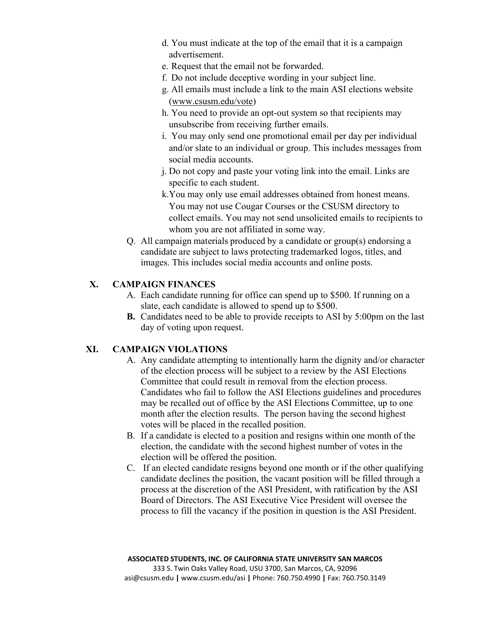- d. You must indicate at the top of the email that it is a campaign advertisement.
- e. Request that the email not be forwarded.
- f. Do not include deceptive wording in your subject line.
- g. All emails must include a link to the main ASI elections website (www.csusm.edu/vote)
- h. You need to provide an opt-out system so that recipients may unsubscribe from receiving further emails.
- i. You may only send one promotional email per day per individual and/or slate to an individual or group. This includes messages from social media accounts.
- j. Do not copy and paste your voting link into the email. Links are specific to each student.
- k.You may only use email addresses obtained from honest means. You may not use Cougar Courses or the CSUSM directory to collect emails. You may not send unsolicited emails to recipients to whom you are not affiliated in some way.
- Q. All campaign materials produced by a candidate or group(s) endorsing a candidate are subject to laws protecting trademarked logos, titles, and images. This includes social media accounts and online posts.

# **X. CAMPAIGN FINANCES**

- A. Each candidate running for office can spend up to \$500. If running on a slate, each candidate is allowed to spend up to \$500.
- **B.** Candidates need to be able to provide receipts to ASI by 5:00pm on the last day of voting upon request.

## **XI. CAMPAIGN VIOLATIONS**

- A. Any candidate attempting to intentionally harm the dignity and/or character of the election process will be subject to a review by the ASI Elections Committee that could result in removal from the election process. Candidates who fail to follow the ASI Elections guidelines and procedures may be recalled out of office by the ASI Elections Committee, up to one month after the election results. The person having the second highest votes will be placed in the recalled position.
- B. If a candidate is elected to a position and resigns within one month of the election, the candidate with the second highest number of votes in the election will be offered the position.
- C. If an elected candidate resigns beyond one month or if the other qualifying candidate declines the position, the vacant position will be filled through a process at the discretion of the ASI President, with ratification by the ASI Board of Directors. The ASI Executive Vice President will oversee the process to fill the vacancy if the position in question is the ASI President.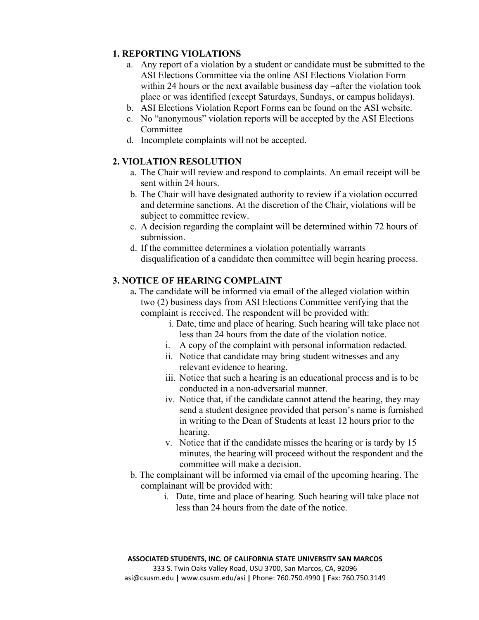## **1. REPORTING VIOLATIONS**

- a. Any report of a violation by a student or candidate must be submitted to the ASI Elections Committee via the online ASI Elections Violation Form within 24 hours or the next available business day –after the violation took place or was identified (except Saturdays, Sundays, or campus holidays).
- b. ASI Elections Violation Report Forms can be found on the ASI website.
- c. No "anonymous" violation reports will be accepted by the ASI Elections Committee
- d. Incomplete complaints will not be accepted.

## **2. VIOLATION RESOLUTION**

- a. The Chair will review and respond to complaints. An email receipt will be sent within 24 hours.
- b. The Chair will have designated authority to review if a violation occurred and determine sanctions. At the discretion of the Chair, violations will be subject to committee review.
- c. A decision regarding the complaint will be determined within 72 hours of submission.
- d. If the committee determines a violation potentially warrants disqualification of a candidate then committee will begin hearing process.

## **3. NOTICE OF HEARING COMPLAINT**

- a**.** The candidate will be informed via email of the alleged violation within two (2) business days from ASI Elections Committee verifying that the complaint is received. The respondent will be provided with:
	- i. Date, time and place of hearing. Such hearing will take place not less than 24 hours from the date of the violation notice.
	- i. A copy of the complaint with personal information redacted.
	- ii. Notice that candidate may bring student witnesses and any relevant evidence to hearing.
	- iii. Notice that such a hearing is an educational process and is to be conducted in a non-adversarial manner.
	- iv. Notice that, if the candidate cannot attend the hearing, they may send a student designee provided that person's name is furnished in writing to the Dean of Students at least 12 hours prior to the hearing.
	- v. Notice that if the candidate misses the hearing or is tardy by 15 minutes, the hearing will proceed without the respondent and the committee will make a decision.
- b. The complainant will be informed via email of the upcoming hearing. The complainant will be provided with:
	- i. Date, time and place of hearing. Such hearing will take place not less than 24 hours from the date of the notice.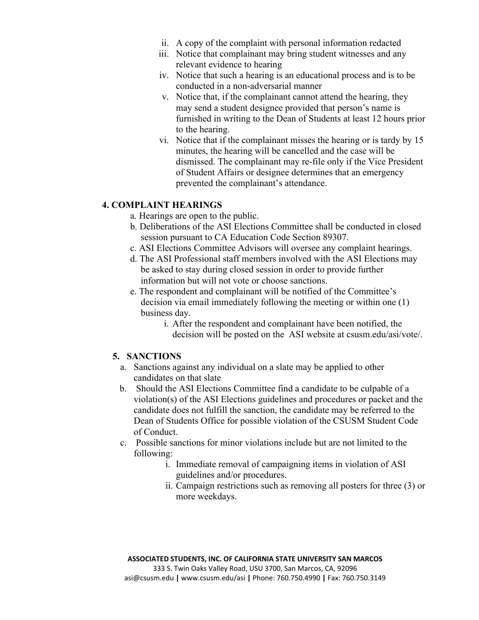- ii. A copy of the complaint with personal information redacted
- iii. Notice that complainant may bring student witnesses and any relevant evidence to hearing
- iv. Notice that such a hearing is an educational process and is to be conducted in a non-adversarial manner
- v. Notice that, if the complainant cannot attend the hearing, they may send a student designee provided that person's name is furnished in writing to the Dean of Students at least 12 hours prior to the hearing.
- vi. Notice that if the complainant misses the hearing or is tardy by 15 minutes, the hearing will be cancelled and the case will be dismissed. The complainant may re-file only if the Vice President of Student Affairs or designee determines that an emergency prevented the complainant's attendance.

## **4. COMPLAINT HEARINGS**

- a. Hearings are open to the public.
- b. Deliberations of the ASI Elections Committee shall be conducted in closed session pursuant to CA Education Code Section 89307.
- c. ASI Elections Committee Advisors will oversee any complaint hearings.
- d. The ASI Professional staff members involved with the ASI Elections may be asked to stay during closed session in order to provide further information but will not vote or choose sanctions.
- e. The respondent and complainant will be notified of the Committee's decision via email immediately following the meeting or within one (1) business day.
	- i. After the respondent and complainant have been notified, the decision will be posted on the ASI website at csusm.edu/asi/vote/.

## **5. SANCTIONS**

- a. Sanctions against any individual on a slate may be applied to other candidates on that slate
- b. Should the ASI Elections Committee find a candidate to be culpable of a violation(s) of the ASI Elections guidelines and procedures or packet and the candidate does not fulfill the sanction, the candidate may be referred to the Dean of Students Office for possible violation of the CSUSM Student Code of Conduct.
- c. Possible sanctions for minor violations include but are not limited to the following:
	- i. Immediate removal of campaigning items in violation of ASI guidelines and/or procedures.
	- ii. Campaign restrictions such as removing all posters for three (3) or more weekdays.